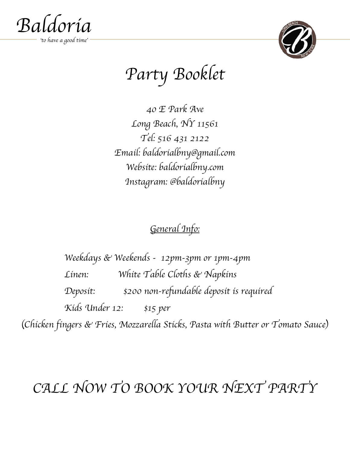



# *Party Booklet*

*40 E Park Ave Long Beach, NY 11561 Tel: 516 431 2122 Email: baldorialbny@gmail.com Website: baldorialbny.com Instagram: @baldorialbny*

## *General Info:*

*Weekdays & Weekends - 12pm-3pm or 1pm-4pm Linen: White Table Cloths & Napkins Deposit: \$200 non-refundable deposit is required Kids Under 12: \$15 per*

(*Chicken fingers & Fries, Mozzarella Sticks, Pasta with Butter or Tomato Sauce*)

## *CALL NOW TO BOOK YOUR NEXT PARTY*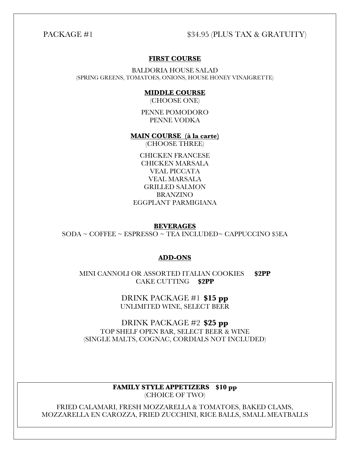#### PACKAGE #1  $$34.95$  (PLUS TAX & GRATUITY)

#### **FIRST COURSE**

BALDORIA HOUSE SALAD (SPRING GREENS, TOMATOES, ONIONS, HOUSE HONEY VINAIGRETTE)

#### **MIDDLE COURSE**

(CHOOSE ONE)

PENNE POMODORO PENNE VODKA

#### **MAIN COURSE (à la carte)**

(CHOOSE THREE)

CHICKEN FRANCESE CHICKEN MARSALA VEAL PICCATA VEAL MARSALA GRILLED SALMON BRANZINO EGGPLANT PARMIGIANA

**BEVERAGES** SODA ~ COFFEE ~ ESPRESSO ~ TEA INCLUDED~ CAPPUCCINO \$5EA

#### **ADD-ONS**

MINI CANNOLI OR ASSORTED ITALIAN COOKIES **\$2PP** CAKE CUTTING **\$2PP**

> DRINK PACKAGE #1 **\$15 pp** UNLIMITED WINE, SELECT BEER

DRINK PACKAGE #2 **\$25 pp** TOP SHELF OPEN BAR, SELECT BEER & WINE (SINGLE MALTS, COGNAC, CORDIALS NOT INCLUDED)

> **FAMILY STYLE APPETIZERS \$10 pp** (CHOICE OF TWO)

FRIED CALAMARI, FRESH MOZZARELLA & TOMATOES, BAKED CLAMS, MOZZARELLA EN CAROZZA, FRIED ZUCCHINI, RICE BALLS, SMALL MEATBALLS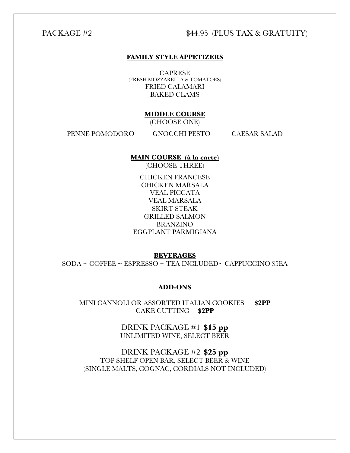### PACKAGE #2  $$44.95$  (PLUS TAX & GRATUITY)

#### **FAMILY STYLE APPETIZERS**

**CAPRESE** (FRESH MOZZARELLA & TOMATOES) FRIED CALAMARI BAKED CLAMS

#### **MIDDLE COURSE**

(CHOOSE ONE)

PENNE POMODORO GNOCCHI PESTO CAESAR SALAD

#### **MAIN COURSE (à la carte)**

(CHOOSE THREE)

CHICKEN FRANCESE CHICKEN MARSALA VEAL PICCATA VEAL MARSALA SKIRT STEAK GRILLED SALMON BRANZINO EGGPLANT PARMIGIANA

#### **BEVERAGES**

SODA ~ COFFEE ~ ESPRESSO ~ TEA INCLUDED~ CAPPUCCINO \$5EA

#### **ADD-ONS**

MINI CANNOLI OR ASSORTED ITALIAN COOKIES **\$2PP** CAKE CUTTING **\$2PP**

> DRINK PACKAGE #1 **\$15 pp** UNLIMITED WINE, SELECT BEER

DRINK PACKAGE #2 **\$25 pp** TOP SHELF OPEN BAR, SELECT BEER & WINE (SINGLE MALTS, COGNAC, CORDIALS NOT INCLUDED)